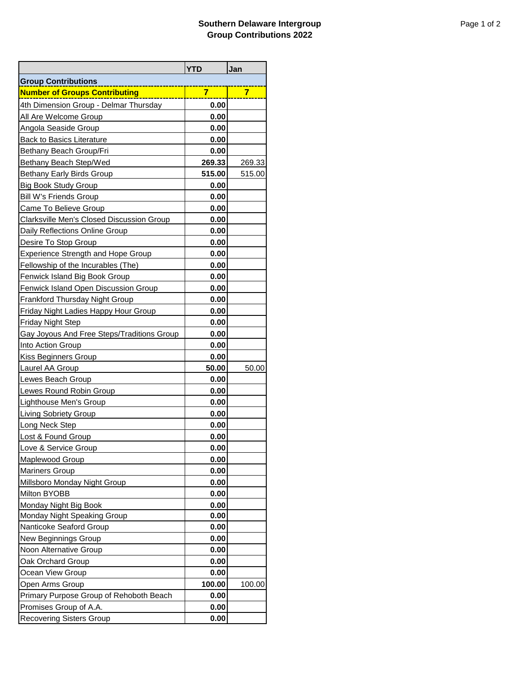|                                             | <b>YTD</b> | Jan    |
|---------------------------------------------|------------|--------|
| <b>Group Contributions</b>                  |            |        |
| <b>Number of Groups Contributing</b>        | 7          | 7      |
| 4th Dimension Group - Delmar Thursday       | 0.00       |        |
| All Are Welcome Group                       | 0.00       |        |
| <b>Angola Seaside Group</b>                 | 0.00       |        |
| <b>Back to Basics Literature</b>            | 0.00       |        |
| Bethany Beach Group/Fri                     | 0.00       |        |
| Bethany Beach Step/Wed                      | 269.33     | 269.33 |
| <b>Bethany Early Birds Group</b>            | 515.00     | 515.00 |
| <b>Big Book Study Group</b>                 | 0.00       |        |
| <b>Bill W's Friends Group</b>               | 0.00       |        |
| Came To Believe Group                       | 0.00       |        |
| Clarksville Men's Closed Discussion Group   | 0.00       |        |
| Daily Reflections Online Group              | 0.00       |        |
| Desire To Stop Group                        | 0.00       |        |
| <b>Experience Strength and Hope Group</b>   | 0.00       |        |
| Fellowship of the Incurables (The)          | 0.00       |        |
| <b>Fenwick Island Big Book Group</b>        | 0.00       |        |
| Fenwick Island Open Discussion Group        | 0.00       |        |
| <b>Frankford Thursday Night Group</b>       | 0.00       |        |
| <b>Friday Night Ladies Happy Hour Group</b> | 0.00       |        |
| <b>Friday Night Step</b>                    | 0.00       |        |
| Gay Joyous And Free Steps/Traditions Group  | 0.00       |        |
| Into Action Group                           | 0.00       |        |
| Kiss Beginners Group                        | 0.00       |        |
| Laurel AA Group                             | 50.00      | 50.00  |
| Lewes Beach Group                           | 0.00       |        |
| Lewes Round Robin Group                     | 0.00       |        |
| Lighthouse Men's Group                      | 0.00       |        |
| <b>Living Sobriety Group</b>                | 0.00       |        |
| Long Neck Step                              | 0.00       |        |
| Lost & Found Group                          | 0.00       |        |
| Love & Service Group                        | 0.00       |        |
| <b>Maplewood Group</b>                      | 0.00       |        |
| <b>Mariners Group</b>                       | 0.00       |        |
| Millsboro Monday Night Group                | 0.00       |        |
| Milton BYOBB                                | 0.00       |        |
| Monday Night Big Book                       | 0.00       |        |
| Monday Night Speaking Group                 | 0.00       |        |
| Nanticoke Seaford Group                     | 0.00       |        |
| New Beginnings Group                        | 0.00       |        |
| Noon Alternative Group                      | 0.00       |        |
| Oak Orchard Group                           | 0.00       |        |
| Ocean View Group                            | 0.00       |        |
| Open Arms Group                             | 100.00     | 100.00 |
| Primary Purpose Group of Rehoboth Beach     | 0.00       |        |
| Promises Group of A.A.                      | 0.00       |        |
| <b>Recovering Sisters Group</b>             | 0.00       |        |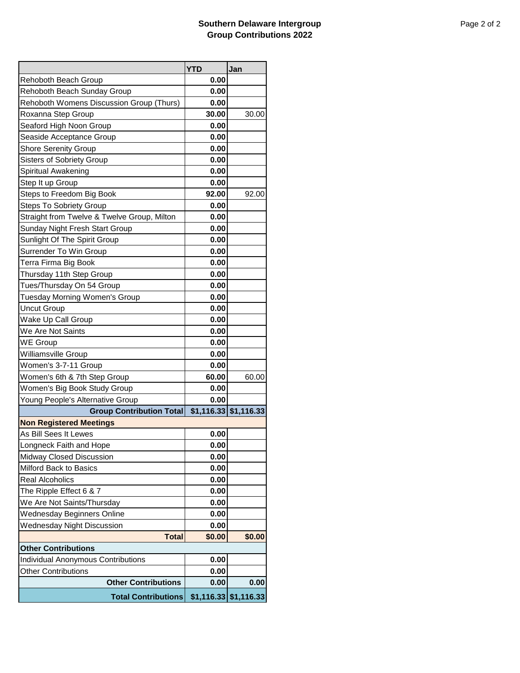|                                             | <b>YTD</b> | Jan                     |  |
|---------------------------------------------|------------|-------------------------|--|
| Rehoboth Beach Group                        | 0.00       |                         |  |
| Rehoboth Beach Sunday Group                 | 0.00       |                         |  |
| Rehoboth Womens Discussion Group (Thurs)    | 0.00       |                         |  |
| Roxanna Step Group                          | 30.00      | 30.00                   |  |
| Seaford High Noon Group                     | 0.00       |                         |  |
| Seaside Acceptance Group                    | 0.00       |                         |  |
| <b>Shore Serenity Group</b>                 | 0.00       |                         |  |
| <b>Sisters of Sobriety Group</b>            | 0.00       |                         |  |
| Spiritual Awakening                         | 0.00       |                         |  |
| Step It up Group                            | 0.00       |                         |  |
| Steps to Freedom Big Book                   | 92.00      | 92.00                   |  |
| <b>Steps To Sobriety Group</b>              | 0.00       |                         |  |
| Straight from Twelve & Twelve Group, Milton | 0.00       |                         |  |
| Sunday Night Fresh Start Group              | 0.00       |                         |  |
| Sunlight Of The Spirit Group                | 0.00       |                         |  |
| Surrender To Win Group                      | 0.00       |                         |  |
| Terra Firma Big Book                        | 0.00       |                         |  |
| Thursday 11th Step Group                    | 0.00       |                         |  |
| Tues/Thursday On 54 Group                   | 0.00       |                         |  |
| Tuesday Morning Women's Group               | 0.00       |                         |  |
| <b>Uncut Group</b>                          | 0.00       |                         |  |
| Wake Up Call Group                          | 0.00       |                         |  |
| We Are Not Saints                           | 0.00       |                         |  |
| <b>WE Group</b>                             | 0.00       |                         |  |
| Williamsville Group                         | 0.00       |                         |  |
| Women's 3-7-11 Group                        | 0.00       |                         |  |
| Women's 6th & 7th Step Group                | 60.00      | 60.00                   |  |
| Women's Big Book Study Group                | 0.00       |                         |  |
| Young People's Alternative Group            | 0.00       |                         |  |
| <b>Group Contribution Total</b>             |            | $$1,116.33$ $$1,116.33$ |  |
| <b>Non Registered Meetings</b>              |            |                         |  |
| As Bill Sees It Lewes                       | 0.00       |                         |  |
| Longneck Faith and Hope                     | 0.00       |                         |  |
| Midway Closed Discussion                    | 0.00       |                         |  |
| Milford Back to Basics                      | 0.00       |                         |  |
| <b>Real Alcoholics</b>                      | 0.00       |                         |  |
| The Ripple Effect 6 & 7                     | 0.00       |                         |  |
| We Are Not Saints/Thursday                  | 0.00       |                         |  |
| <b>Wednesday Beginners Online</b>           | 0.00       |                         |  |
| <b>Wednesday Night Discussion</b>           | 0.00       |                         |  |
| <b>Total</b>                                | \$0.00     | \$0.00                  |  |
| <b>Other Contributions</b>                  |            |                         |  |
| <b>Individual Anonymous Contributions</b>   | 0.00       |                         |  |
| <b>Other Contributions</b>                  | 0.00       |                         |  |
| <b>Other Contributions</b>                  | 0.00       | 0.00                    |  |
| <b>Total Contributions</b>                  |            | $$1,116.33$ $$1,116.33$ |  |